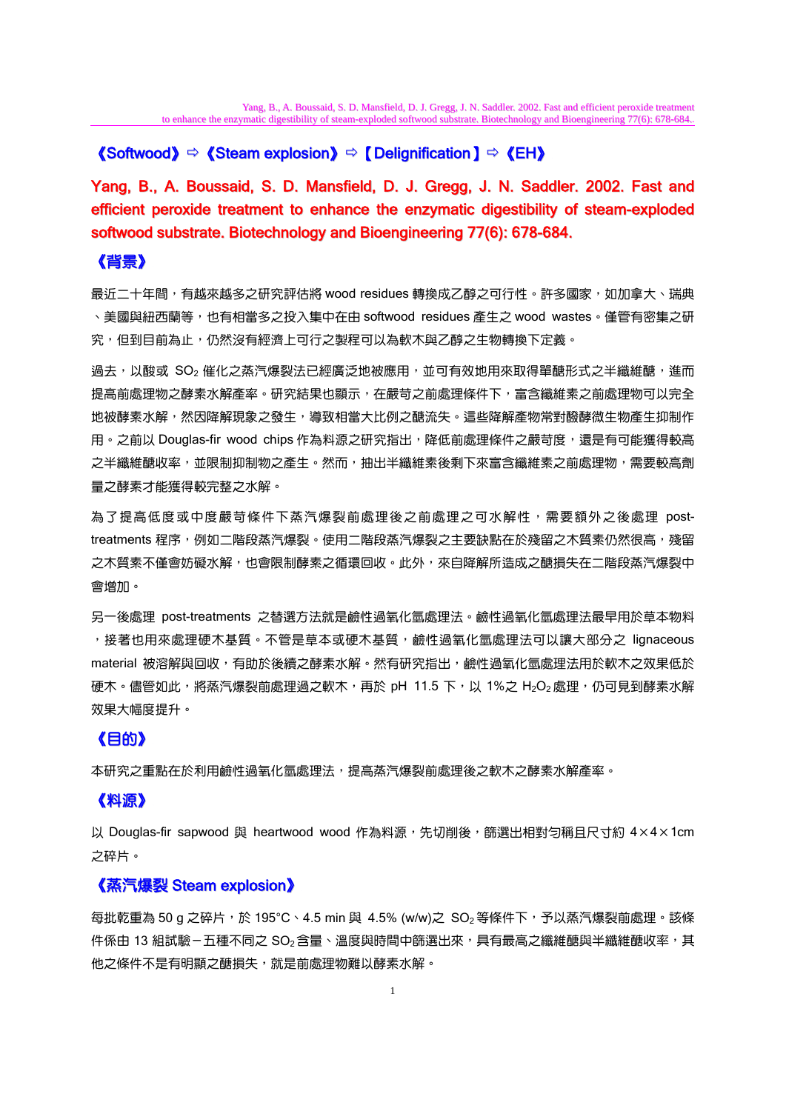# **《Softwood》**  $\Leftrightarrow$  **《Steam explosion》**  $\Leftrightarrow$  **【Delignification】**  $\Leftrightarrow$  **《EH》**

Yang, B., A. Boussaid, S. D. Mansfield, D. J. Gregg, J. N. Saddler. 2002. Fast and efficient peroxide treatment to enhance the enzymatic digestibility of steam-exploded softwood substrate. Biotechnology and Bioengineering 77(6): 678-684.

# 《背景》

最近二十年間,有越來越多之研究評估將 wood residues 轉換成乙醇之可行性。許多國家,如加拿大、瑞典 、美國與紐西蘭等,也有相當多之投入集中在由 softwood residues 產生之 wood wastes。僅管有密集之研 究,但到目前為止,仍然沒有經濟上可行之製程可以為軟木與乙醇之生物轉換下定義。

過去,以酸或 SO<sub>2</sub> 催化之蒸汽爆裂法已經廣泛地被應用,並可有效地用來取得單醣形式之半纖維醣,進而 提高前處理物之酵素水解產率。研究結果也顯示,在嚴苛之前處理條件下,富含纖維素之前處理物可以完全 地被酵素水解,然因降解現象之發生,導致相當大比例之醣流失。這些降解產物常對醱酵微生物產生抑制作 用。之前以 Douglas-fir wood chips 作為料源之研究指出,降低前處理條件之嚴苛度,還是有可能獲得較高 之半纖維醣收率,並限制抑制物之產生。然而,抽出半纖維素後剩下來富含纖維素之前處理物,需要較高劑 量之酵素才能獲得較完整之水解。

為了提高低度或中度嚴苛條件下蒸汽爆裂前處理後之前處理之可水解性,需要額外之後處理 posttreatments 程序,例如二階段蒸汽爆裂。使用二階段蒸汽爆裂之主要缺點在於殘留之木質素仍然很高,殘留 之木質素不僅會妨礙水解,也會限制酵素之循環回收。此外,來自降解所造成之醣損失在二階段蒸汽爆裂中 會增加。

另一後處理 post-treatments 之替選方法就是鹼性過氧化氫處理法。鹼性過氧化氫處理法最早用於草本物料 ,接著也用來處理硬木基質。不管是草本或硬木基質,鹼性過氧化氫處理法可以讓大部分之 lignaceous material 被溶解與回收,有助於後續之酵素水解。然有研究指出,鹼性過氧化氫處理法用於軟木之效果低於 硬木。儘管如此,將蒸汽爆裂前處理過之軟木,再於 pH 11.5 下,以 1%之 H2O2處理,仍可見到酵素水解 效果大幅度提升。

# 《目的》

本研究之重點在於利用鹼性過氧化氫處理法,提高蒸汽爆裂前處理後之軟木之酵素水解產率。

# 《料源》

以 Douglas-fir sapwood 與 heartwood wood 作為料源,先切削後,篩選出相對勻稱且尺寸約 4×4×1cm 之碎片。

#### 《蒸汽爆裂 Steam explosion》

每批乾重為 50 g 之碎片,於 195°C、4.5 min 與 4.5% (w/w)之 SO。等條件下,予以蒸汽爆裂前處理。該條 件係由 13 組試驗-五種不同之 SO2含量、溫度與時間中篩選出來,具有最高之纖維醣與半纖維醣收率,其 他之條件不是有明顯之醣損失,就是前處理物難以酵素水解。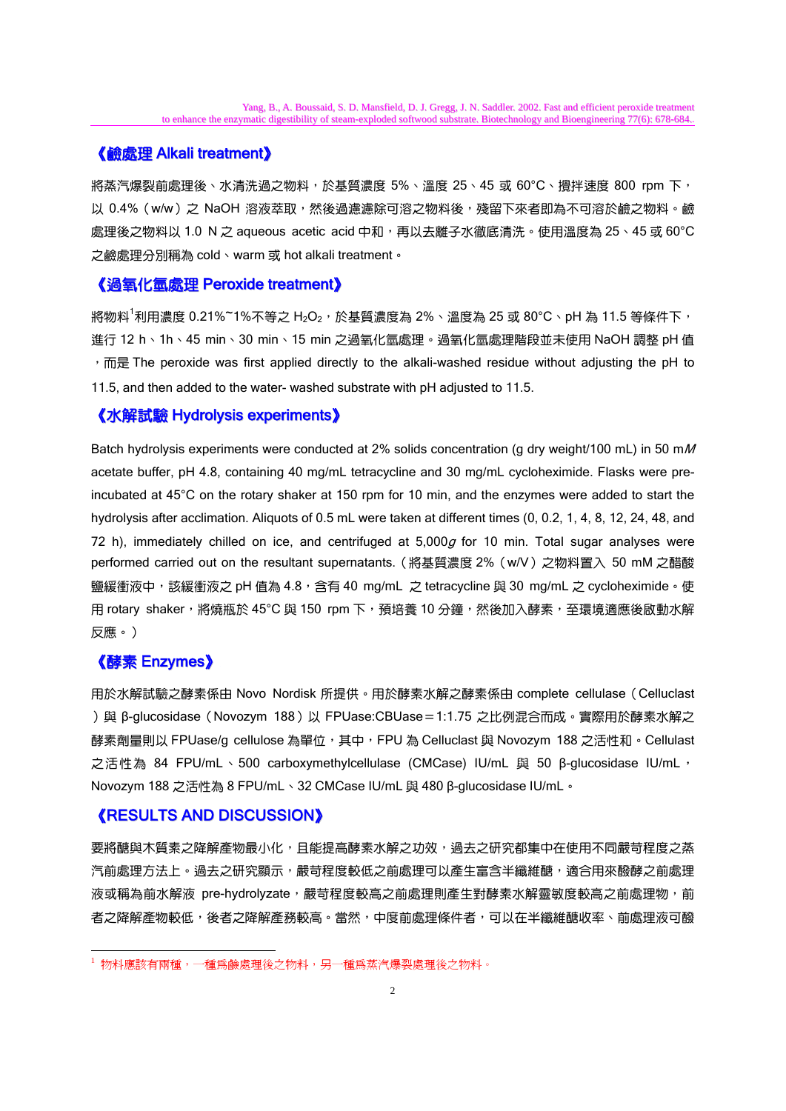# 《鹼處理 Alkali treatment》

將蒸汽爆裂前處理後、水清洗過之物料,於基質濃度 5%、溫度 25、45 或 60°C、攪拌速度 800 rpm 下, 以 0.4% (w/w) 之 NaOH 溶液萃取,然後過濾濾除可溶之物料後,殘留下來者即為不可溶於鹼之物料。鹼 處理後之物料以 1.0 N 之 aqueous acetic acid 中和,再以去離子水徹底清洗。使用溫度為 25、45 或 60°C 之鹼處理分別稱為 cold、warm 或 hot alkali treatment。

#### 《過氧化氫處理 Peroxide treatment》

將物料<sup>1</sup>利用濃度 0.21%~1%不等之 H<sub>2</sub>O<sub>2</sub>,於基質濃度為 2%、溫度為 25 或 80°C、pH 為 11.5 等條件下, 進行 12 h、1h、45 min、30 min、15 min 之過氧化氫處理。過氧化氫處理階段並未使用 NaOH 調整 pH 值 , 而是 The peroxide was first applied directly to the alkali-washed residue without adjusting the pH to 11.5, and then added to the water- washed substrate with pH adjusted to 11.5.

# 《水解試驗 Hydrolysis experiments》

Batch hydrolysis experiments were conducted at 2% solids concentration (g dry weight/100 mL) in 50 mM acetate buffer, pH 4.8, containing 40 mg/mL tetracycline and 30 mg/mL cycloheximide. Flasks were preincubated at 45°C on the rotary shaker at 150 rpm for 10 min, and the enzymes were added to start the hydrolysis after acclimation. Aliquots of 0.5 mL were taken at different times (0, 0.2, 1, 4, 8, 12, 24, 48, and 72 h), immediately chilled on ice, and centrifuged at  $5,000g$  for 10 min. Total sugar analyses were performed carried out on the resultant supernatants. (將基質濃度 2% (w/V) 之物料置入 50 mM 之醋酸 鹽緩衝液中,該緩衝液之 pH 值為 4.8, 含有 40 mg/mL 之 tetracycline 與 30 mg/mL 之 cycloheximide。使 用 rotary shaker, 將燒瓶於 45°C 與 150 rpm 下, 預培養 10 分鐘,然後加入酵素, 至環境適應後啟動水解 反應。)

# 《酵素 Enzymes》

-

用於水解試驗之酵素係由 Novo Nordisk 所提供。用於酵素水解之酵素係由 complete cellulase (Celluclast )與 β-glucosidase (Novozym 188)以 FPUase:CBUase=1:1.75 之比例混合而成。實際用於酵素水解之 酵素劑量則以 FPUase/g cellulose 為單位,其中,FPU 為 Celluclast 與 Novozym 188 之活性和。Cellulast 之活性為 84 FPU/mL、500 carboxymethylcellulase (CMCase) IU/mL 與 50 β-glucosidase IU/mL, Novozym 188 之活性為 8 FPU/mL、32 CMCase IU/mL 與 480 β-glucosidase IU/mL。

# 《RESULTS AND DISCUSSION》

要將醣與木質素之降解產物最小化,且能提高酵素水解之功效,過去之研究都集中在使用不同嚴苛程度之蒸 汽前處理方法上。過去之研究顯示,嚴苛程度較低之前處理可以產生富含半纖維醣,適合用來醱酵之前處理 液或稱為前水解液 pre-hydrolyzate,嚴苛程度較高之前處理則產生對酵素水解靈敏度較高之前處理物,前 者之降解產物較低,後者之降解產務較高。當然,中度前處理條件者,可以在半纖維醣收率、前處理液可醱

<sup>1</sup> 物料應該有兩種,一種為鹼處理後之物料,另一種為蒸汽爆裂處理後之物料。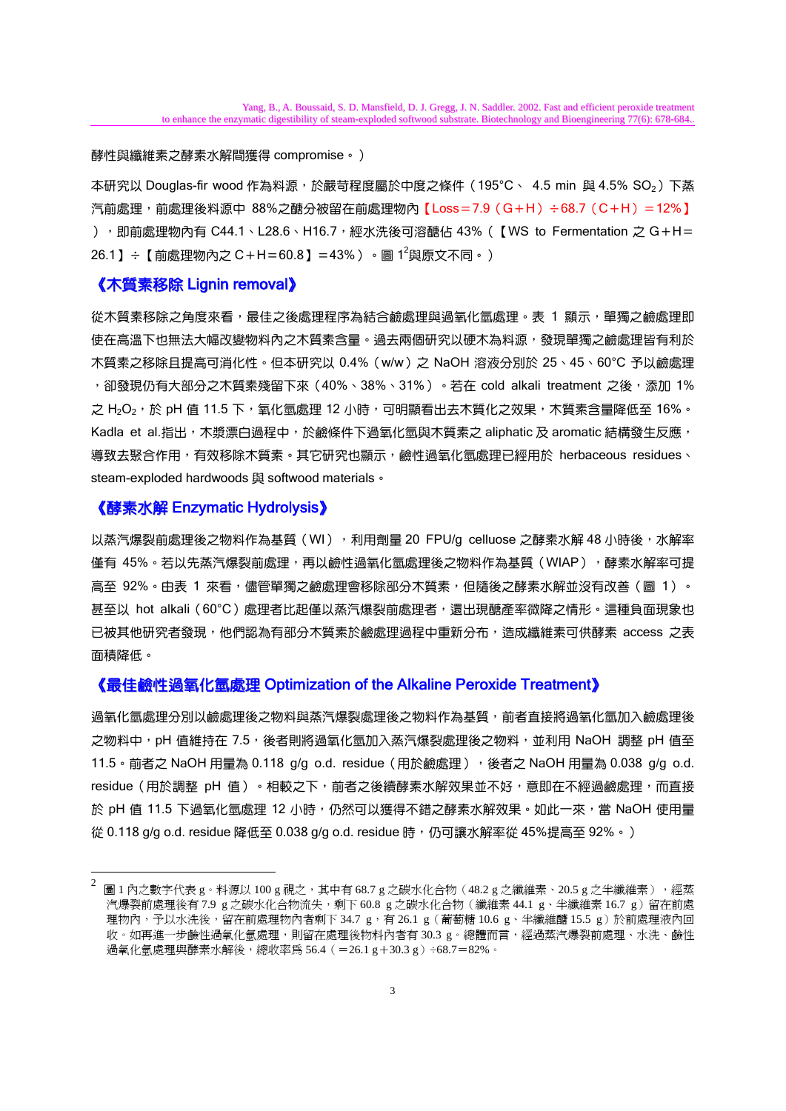#### 酵性與纖維素之酵素水解間獲得 compromise。)

本研究以 Douglas-fir wood 作為料源,於嚴苛程度屬於中度之條件 (195°C、 4.5 min 與 4.5%  $SO<sub>2</sub>$ ) 下蒸 汽前處理,前處理後料源中 88%之醣分被留在前處理物內【Loss=7.9 (G+H)÷68.7 (C+H) =12%】 ), 即前處理物內有 C44.1、L28.6、H16.7,經水洗後可溶醣佔 43% (【WS to Fermentation 之 G + H = 26.1 】÷【前處理物內之 C + H = 60.8 】= 43% )。圖 1<sup>2</sup>與原文不同。 )

#### 《木質素移除 Lignin removal》

從木質素移除之角度來看,最佳之後處理程序為結合鹼處理與過氧化氫處理。表 1 顯示,單獨之鹼處理即 使在高溫下也無法大幅改變物料內之木質素含量。過去兩個研究以硬木為料源,發現單獨之鹼處理皆有利於 木質素之移除且提高可消化性。但本研究以 0.4%(w/w)之 NaOH 溶液分別於 25、45、60°C 予以鹼處理 ,卻發現仍有大部分之木質素殘留下來(40%、38%、31%)。若在 cold alkali treatment 之後,添加 1% 之 H2O2,於 pH 值 11.5 下,氧化氫處理 12 小時,可明顯看出去木質化之效果,木質素含量降低至 16%。 Kadla et al.指出,木漿漂白過程中,於鹼條件下過氧化氫與木質素之 aliphatic 及 aromatic 結構發生反應, 導致去聚合作用,有效移除木質素。其它研究也顯示,鹼性過氧化氫處理已經用於 herbaceous residues、 steam-exploded hardwoods 與 softwood materials。

#### 《酵素水解 Enzymatic Hydrolysis》

-

以蒸汽爆裂前處理後之物料作為基質(WI),利用劑量 20 FPU/g celluose 之酵素水解 48 小時後,水解率 僅有 45%。若以先蒸汽爆裂前處理,再以鹼性過氧化氫處理後之物料作為基質(WIAP), 酵素水解率可提 高至 92%。由表 1 來看,儘管單獨之鹼處理會移除部分木質素,但隨後之酵素水解並沒有改善 ( 圖 1 ) 。 甚至以 hot alkali (60°C)處理者比起僅以蒸汽爆裂前處理者,還出現醣產率微降之情形。這種負面現象也 已被其他研究者發現,他們認為有部分木質素於鹼處理過程中重新分布,造成纖維素可供酵素 access 之表 面積降低。

#### 《最佳鹼性過氧化氫處理 Optimization of the Alkaline Peroxide Treatment》

過氧化氫處理分別以鹼處理後之物學,為與愈理後之物料作為基質,前者直接將過氧化氫加入鹼處理後 之物料中,pH 值維持在 7.5, 後者則將過氧化氫加入蒸汽爆裂處理後之物料,並利用 NaOH 調整 pH 值至 11.5。前者之 NaOH 用量為 0.118 g/g o.d. residue(用於鹼處理),後者之 NaOH 用量為 0.038 g/g o.d. residue (用於調整 pH 值)。相較之下, 前者之後續酵素水解效果並不好, 意即在不經過鹼處理, 而直接 於 pH 值 11.5 下過氧化氫處理 12 小時,仍然可以獲得不錯之酵素水解效果。如此一來,當 NaOH 使用量 從 0.118 g/g o.d. residue 降低至 0.038 g/g o.d. residue 時,仍可讓水解率從 45%提高至 92%。)

圖 1 內之數字代表 g。料源以 100 g 視之, 其中有 68.7 g 之碳水化合物 (48.2 g 之纖維素、20.5 g 之半纖維素), 經蒸 汽爆裂前處理後有 7.9 g 之碳水化合物流失,剩下 60.8 g 之碳水化合物 (纖維素 44.1 g、半纖維素 16.7 g)留在前處 理物內,予以水洗後,留在前處理物內者剩下 34.7 g,有 26.1 g (葡萄糖 10.6 g、半纖維醣 15.5 g)於前處理液內回 收。如再進一步鹼性過氧化氫處理,則留在處理後物料內者有 30.3 g。總體而言,經過蒸汽爆裂前處理、水洗、鹼性 過氧化氫處理與酵素水解後,總收率為 56.4(=26.1 g+30.3 g)÷68.7=82%。